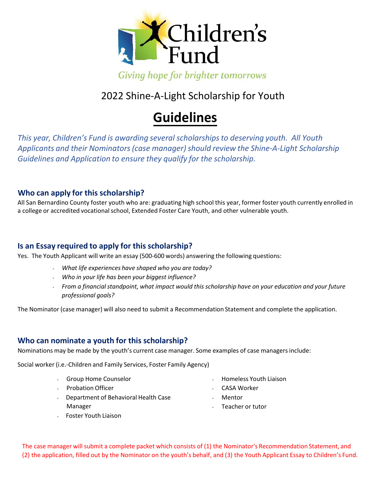

Giving hope for brighter tomorrows

# 2022 Shine‐A-Light Scholarship for Youth

# **Guidelines**

*This year, Children's Fund is awarding several scholarships to deserving youth. All Youth Applicants and their Nominators (case manager) should review the Shine‐A‐Light Scholarship Guidelines and Application to ensure they qualify for the scholarship.*

#### **Who can apply for this scholarship?**

All San Bernardino County foster youth who are: graduating high school this year, former foster youth currently enrolled in a college or accredited vocational school, Extended Foster Care Youth, and other vulnerable youth.

#### **Is an Essay required to apply for this scholarship?**

Yes. The Youth Applicant will write an essay (500-600 words) answering the following questions:

- *What life experiences have shaped who you are today?*
- *Who in your life has been your biggest influence?*
- *From a financialstandpoint, what impact would this scholarship have on your education and your future professional goals?*

The Nominator (case manager) will also need to submit a Recommendation Statement and complete the application.

### **Who can nominate a youth for this scholarship?**

Nominations may be made by the youth's current case manager. Some examples of case managers include:

Social worker (i.e.‐Children and Family Services, Foster Family Agency)

- Group Home Counselor Homeless Youth Liaison
- Probation Officer
- CASA Worker
- Department of Behavioral Health Case Manager
- Mentor
- Teacher or tutor

Foster Youth Liaison

The case manager will submit a complete packet which consists of (1) the Nominator's Recommendation Statement, and (2) the application, filled out by the Nominator on the youth's behalf, and (3) the Youth Applicant Essay to Children's Fund.